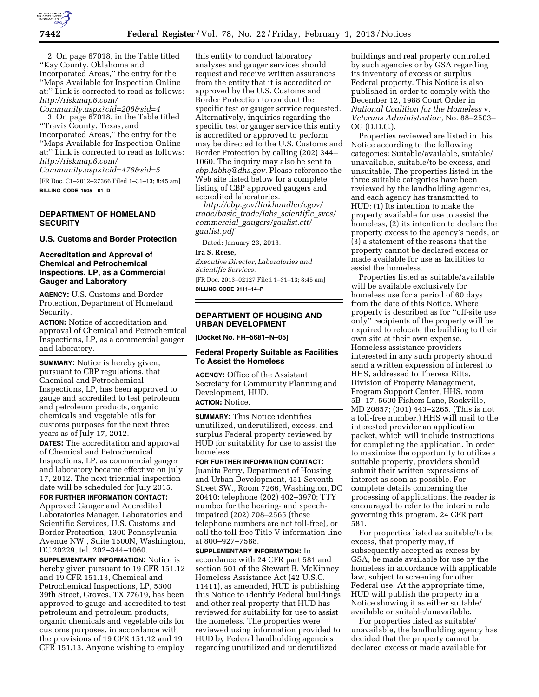

2. On page 67018, in the Table titled ''Kay County, Oklahoma and Incorporated Areas,'' the entry for the ''Maps Available for Inspection Online at:'' Link is corrected to read as follows: *[http://riskmap6.com/](http://riskmap6.com/Community.aspx?cid=208&sid=4)  [Community.aspx?cid=208&sid=4](http://riskmap6.com/Community.aspx?cid=208&sid=4)* 

3. On page 67018, in the Table titled ''Travis County, Texas, and Incorporated Areas,'' the entry for the ''Maps Available for Inspection Online at:'' Link is corrected to read as follows: *[http://riskmap6.com/](http://riskmap6.com/Community.aspx?cid=476&sid=5)* 

*[Community.aspx?cid=476&sid=5](http://riskmap6.com/Community.aspx?cid=476&sid=5)* 

[FR Doc. C1–2012–27366 Filed 1–31–13; 8:45 am] **BILLING CODE 1505– 01–D** 

# **DEPARTMENT OF HOMELAND SECURITY**

**U.S. Customs and Border Protection** 

## **Accreditation and Approval of Chemical and Petrochemical Inspections, LP, as a Commercial Gauger and Laboratory**

**AGENCY:** U.S. Customs and Border Protection, Department of Homeland Security.

**ACTION:** Notice of accreditation and approval of Chemical and Petrochemical Inspections, LP, as a commercial gauger and laboratory.

**SUMMARY:** Notice is hereby given, pursuant to CBP regulations, that Chemical and Petrochemical Inspections, LP, has been approved to gauge and accredited to test petroleum and petroleum products, organic chemicals and vegetable oils for customs purposes for the next three years as of July 17, 2012.

**DATES:** The accreditation and approval of Chemical and Petrochemical Inspections, LP, as commercial gauger and laboratory became effective on July 17, 2012. The next triennial inspection date will be scheduled for July 2015.

**FOR FURTHER INFORMATION CONTACT:**  Approved Gauger and Accredited Laboratories Manager, Laboratories and Scientific Services, U.S. Customs and Border Protection, 1300 Pennsylvania Avenue NW., Suite 1500N, Washington, DC 20229, tel. 202–344–1060.

**SUPPLEMENTARY INFORMATION:** Notice is hereby given pursuant to 19 CFR 151.12 and 19 CFR 151.13, Chemical and Petrochemical Inspections, LP, 5300 39th Street, Groves, TX 77619, has been approved to gauge and accredited to test petroleum and petroleum products, organic chemicals and vegetable oils for customs purposes, in accordance with the provisions of 19 CFR 151.12 and 19 CFR 151.13. Anyone wishing to employ

this entity to conduct laboratory analyses and gauger services should request and receive written assurances from the entity that it is accredited or approved by the U.S. Customs and Border Protection to conduct the specific test or gauger service requested. Alternatively, inquiries regarding the specific test or gauger service this entity is accredited or approved to perform may be directed to the U.S. Customs and Border Protection by calling (202) 344– 1060. The inquiry may also be sent to *[cbp.labhq@dhs.gov.](mailto:cbp.labhq@dhs.gov)* Please reference the Web site listed below for a complete listing of CBP approved gaugers and accredited laboratories.

*[http://cbp.gov/linkhandler/cgov/](http://cbp.gov/linkhandler/cgov/trade/basic_trade/labs_scientific_svcs/commercial_gaugers/gaulist.ctt/gaulist.pdf)  [trade/basic](http://cbp.gov/linkhandler/cgov/trade/basic_trade/labs_scientific_svcs/commercial_gaugers/gaulist.ctt/gaulist.pdf)*\_*trade/labs*\_*scientific*\_*svcs/ commercial*\_*[gaugers/gaulist.ctt/](http://cbp.gov/linkhandler/cgov/trade/basic_trade/labs_scientific_svcs/commercial_gaugers/gaulist.ctt/gaulist.pdf) [gaulist.pdf](http://cbp.gov/linkhandler/cgov/trade/basic_trade/labs_scientific_svcs/commercial_gaugers/gaulist.ctt/gaulist.pdf)* 

Dated: January 23, 2013.

### **Ira S. Reese,**

*Executive Director, Laboratories and Scientific Services.* 

[FR Doc. 2013–02127 Filed 1–31–13; 8:45 am] **BILLING CODE 9111–14–P** 

# **DEPARTMENT OF HOUSING AND URBAN DEVELOPMENT**

**[Docket No. FR–5681–N–05]** 

# **Federal Property Suitable as Facilities To Assist the Homeless**

**AGENCY:** Office of the Assistant Secretary for Community Planning and Development, HUD. **ACTION:** Notice.

**SUMMARY:** This Notice identifies unutilized, underutilized, excess, and surplus Federal property reviewed by HUD for suitability for use to assist the homeless.

**FOR FURTHER INFORMATION CONTACT:**  Juanita Perry, Department of Housing and Urban Development, 451 Seventh Street SW., Room 7266, Washington, DC 20410; telephone (202) 402–3970; TTY number for the hearing- and speechimpaired (202) 708–2565 (these telephone numbers are not toll-free), or call the toll-free Title V information line at 800–927–7588.

**SUPPLEMENTARY INFORMATION:** In accordance with 24 CFR part 581 and section 501 of the Stewart B. McKinney Homeless Assistance Act (42 U.S.C. 11411), as amended, HUD is publishing this Notice to identify Federal buildings and other real property that HUD has reviewed for suitability for use to assist the homeless. The properties were reviewed using information provided to HUD by Federal landholding agencies regarding unutilized and underutilized

buildings and real property controlled by such agencies or by GSA regarding its inventory of excess or surplus Federal property. This Notice is also published in order to comply with the December 12, 1988 Court Order in *National Coalition for the Homeless* v. *Veterans Administration,* No. 88–2503– OG (D.D.C.).

Properties reviewed are listed in this Notice according to the following categories: Suitable/available, suitable/ unavailable, suitable/to be excess, and unsuitable. The properties listed in the three suitable categories have been reviewed by the landholding agencies, and each agency has transmitted to HUD: (1) Its intention to make the property available for use to assist the homeless, (2) its intention to declare the property excess to the agency's needs, or (3) a statement of the reasons that the property cannot be declared excess or made available for use as facilities to assist the homeless.

Properties listed as suitable/available will be available exclusively for homeless use for a period of 60 days from the date of this Notice. Where property is described as for ''off-site use only'' recipients of the property will be required to relocate the building to their own site at their own expense. Homeless assistance providers interested in any such property should send a written expression of interest to HHS, addressed to Theresa Ritta, Division of Property Management, Program Support Center, HHS, room 5B–17, 5600 Fishers Lane, Rockville, MD 20857; (301) 443–2265. (This is not a toll-free number.) HHS will mail to the interested provider an application packet, which will include instructions for completing the application. In order to maximize the opportunity to utilize a suitable property, providers should submit their written expressions of interest as soon as possible. For complete details concerning the processing of applications, the reader is encouraged to refer to the interim rule governing this program, 24 CFR part 581.

For properties listed as suitable/to be excess, that property may, if subsequently accepted as excess by GSA, be made available for use by the homeless in accordance with applicable law, subject to screening for other Federal use. At the appropriate time, HUD will publish the property in a Notice showing it as either suitable/ available or suitable/unavailable.

For properties listed as suitable/ unavailable, the landholding agency has decided that the property cannot be declared excess or made available for